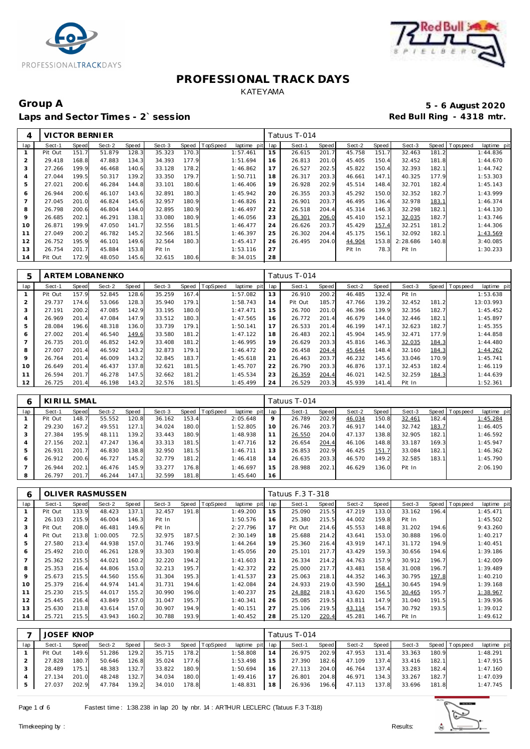



## Group A 5 - 6 August 2020<br>
Laps and Sector Times - 2`session **1990 and Sector Times - 2`session** Laps and Sector Times - 2`session

| 4   | VICTOR BERNIER |       |        |       |        |       |          |             |     | Tatuus T-014 |       |        |       |          |       |             |             |
|-----|----------------|-------|--------|-------|--------|-------|----------|-------------|-----|--------------|-------|--------|-------|----------|-------|-------------|-------------|
| lap | Sect-1         | Speed | Sect-2 | Speed | Sect-3 | Speed | TopSpeed | laptime pit | lap | Sect-1       | Speed | Sect-2 | Speed | Sect-3   | Speed | T ops pee d | laptime pit |
|     | Pit Out        | 151.7 | 51.879 | 128.3 | 35.323 | 170.3 |          | 1:57.461    | 15  | 26.615       | 201.7 | 45.758 | 151.7 | 32.463   | 181.2 |             | 1:44.836    |
| 2   | 29.418         | 168.8 | 47.883 | 134.3 | 34.393 | 177.9 |          | 1:51.694    | 16  | 26.813       | 201.0 | 45.405 | 150.4 | 32.452   | 181.8 |             | 1:44.670    |
| 3   | 27.266         | 199.9 | 46.468 | 140.6 | 33.128 | 178.2 |          | 1:46.862    | 17  | 26.527       | 202.5 | 45.822 | 150.4 | 32.393   | 182.1 |             | 1:44.742    |
| 4   | 27.044         | 199.5 | 50.317 | 139.2 | 33.350 | 179.7 |          | 1:50.711    | 18  | 26.317       | 203.3 | 46.661 | 147.1 | 40.325   | 177.9 |             | 1:53.303    |
| 5   | 27.021         | 200.6 | 46.284 | 144.8 | 33.101 | 180.6 |          | 1:46.406    | 19  | 26.928       | 202.9 | 45.514 | 148.4 | 32.701   | 182.4 |             | 1:45.143    |
| 6   | 26.944         | 200.6 | 46.107 | 143.6 | 32.891 | 180.3 |          | 1:45.942    | 20  | 26.355       | 203.3 | 45.292 | 150.0 | 32.352   | 182.7 |             | 1:43.999    |
|     | 27.045         | 201.0 | 46.824 | 145.6 | 32.957 | 180.9 |          | 1:46.826    | 21  | 26.901       | 203.7 | 46.495 | 136.4 | 32.978   | 183.1 |             | 1:46.374    |
| 8   | 26.798         | 200.6 | 46.804 | 144.0 | 32.895 | 180.9 |          | 1:46.497    | 22  | 26.518       | 204.4 | 45.314 | 146.3 | 32.298   | 182.1 |             | 1:44.130    |
| 9   | 26.685         | 202.1 | 46.291 | 138.7 | 33.080 | 180.9 |          | 1:46.056    | 23  | 26.301       | 206.0 | 45.410 | 152.1 | 32.035   | 182.7 |             | 1:43.746    |
| 10  | 26.871         | 199.9 | 47.050 | 141.7 | 32.556 | 181.5 |          | 1:46.477    | 24  | 26.626       | 203.7 | 45.429 | 157.4 | 32.251   | 181.2 |             | 1:44.306    |
| 11  | 27.049         | 200.2 | 46.782 | 145.2 | 32.566 | 181.5 |          | 1:46.397    | 25  | 26.302       | 204.4 | 45.175 | 156.1 | 32.092   | 182.1 |             | 1:43.569    |
| 12  | 26.752         | 195.9 | 46.101 | 149.6 | 32.564 | 180.3 |          | 1:45.417    | 26  | 26.495       | 204.0 | 44.904 | 153.8 | 2:28.686 | 140.8 |             | 3:40.085    |
| 13  | 26.754         | 201.7 | 45.884 | 153.8 | Pit In |       |          | 1:53.116    | 27  |              |       | Pit In | 78.3  | Pit In   |       |             | 1:30.233    |
| 14  | Pit Out        | 172.9 | 48.050 | 145.6 | 32.615 | 180.6 |          | 8:34.015    | 28  |              |       |        |       |          |       |             |             |

| 5   |         |              | <b>ARTEM LOBANENKO</b> |       |        |            |          |                |     | Tatuus T-014 |       |        |       |        |       |                           |
|-----|---------|--------------|------------------------|-------|--------|------------|----------|----------------|-----|--------------|-------|--------|-------|--------|-------|---------------------------|
| lap | Sect-1  | <b>Speed</b> | Sect-2                 | Speed | Sect-3 | Speed      | TopSpeed | laptime<br>pit | lap | Sect-1       | Speed | Sect-2 | Speed | Sect-3 | Speed | T ops peed<br>laptime pit |
|     | Pit Out | 157.9        | 52.845                 | 128.6 | 35.259 | 167.4      |          | 1:57.082       | 13  | 26.910       | 200.2 | 46.485 | 132.4 | Pit In |       | 1:53.638                  |
| 2   | 29.737  | 174.6        | 53.066                 | 128.3 | 35.940 | 179.1      |          | 1:58.743       | 14  | Pit Out      | 185.7 | 47.766 | 139.2 | 32.452 | 181.2 | 13:03.993                 |
| 3   | 27.191  | 200.2        | 47.085                 | 142.9 | 33.195 | 180.0      |          | 1:47.471       | 15  | 26.700       | 201.0 | 46.396 | 139.9 | 32.356 | 182.7 | 1:45.452                  |
| 4   | 26.969  | 201.4        | 47.084                 | 147.9 | 33.512 | 180.3      |          | 1:47.565       | 16  | 26.772       | 201.4 | 46.679 | 144.0 | 32.446 | 182.1 | 1:45.897                  |
| 5   | 28.084  | 196.6        | 48.318                 | 136.0 | 33.739 | 179.1      |          | 1:50.141       | 17  | 26.533       | 201.4 | 46.199 | 147.1 | 32.623 | 182.7 | 1:45.355                  |
| 6   | 27.002  | 201.4        | 46.540                 | 149.6 | 33.580 | 181.2      |          | 1:47.122       | 18  | 26.483       | 202.1 | 45.904 | 145.9 | 32.471 | 177.9 | 1:44.858                  |
|     | 26.735  | 201.0        | 46.852                 | 142.9 | 33.408 | 181.<br>.2 |          | 1:46.995       | 19  | 26.629       | 203.3 | 45.816 | 146.3 | 32.035 | 184.3 | 1:44.480                  |
| 8   | 27.007  | 201.4        | 46.592                 | 143.2 | 32.873 | 179.1      |          | 1:46.472       | 20  | 26.458       | 204.4 | 45.644 | 148.4 | 32.160 | 184.3 | 1:44.262                  |
| 9   | 26.764  | 201.4        | 46.009                 | 143.2 | 32.845 | 183.7      |          | 1:45.618       | 21  | 26.463       | 203.7 | 46.232 | 145.6 | 33.046 | 170.9 | 1:45.741                  |
| 10  | 26.649  | 201.4        | 46.437                 | 137.8 | 32.621 | 181<br>.5  |          | 1:45.707       | 22  | 26.790       | 203.3 | 46.876 | 137.1 | 32.453 | 182.4 | 1:46.119                  |
| 11  | 26.594  | 201.7        | 46.278                 | 147.5 | 32.662 | 181<br>.2  |          | 1:45.534       | 23  | 26.359       | 204.4 | 46.021 | 142.5 | 32.259 | 184.3 | 1:44.639                  |
| 12  | 26.725  | 201.4        | 46.198                 | 143.2 | 32.576 | 181.       |          | 1:45.499       | 24  | 26.529       | 203.3 | 45.939 | 141.4 | Pit In |       | 1:52.361                  |

|     | KIRILL SMAL |       |        |       |        |       |          |                 |                | Tatuus T-014 |       |        |       |        |       |                |             |
|-----|-------------|-------|--------|-------|--------|-------|----------|-----------------|----------------|--------------|-------|--------|-------|--------|-------|----------------|-------------|
| lap | Sect-1      | Speed | Sect-2 | Speed | Sect-3 | Speed | TopSpeed | laptime pit lap |                | Sect-1       | Speed | Sect-2 | Speed | Sect-3 |       | Speed Topspeed | laptime pit |
|     | Pit Out     | 148.7 | 55.552 | 120.8 | 36.162 | 153.4 |          | 2:05.648        | 9              | 26.789       | 202.9 | 46.034 | 150.8 | 32.461 | 182.4 |                | 1:45.284    |
| 2   | 29.230      | 167.2 | 49.551 | 127.1 | 34.024 | 180.0 |          | 1:52.805        | 10             | 26.746       | 203.7 | 46.917 | 144.0 | 32.742 | 183.7 |                | 1:46.405    |
| 3   | 27.384      | 195.9 | 48.111 | 139.2 | 33.443 | 180.9 |          | 1:48.938        |                | 26.550       | 204.0 | 47.137 | 138.8 | 32.905 | 182.1 |                | 1:46.592    |
| 4   | 27.156      | 202.1 | 47.247 | 136.4 | 33.313 | 181.5 |          | 1:47.716        | $\overline{2}$ | 26.654       | 204.4 | 46.106 | 148.8 | 33.187 | 169.3 |                | 1:45.947    |
| 5   | 26.931      | 201.7 | 46.830 | 138.8 | 32.950 | 181.5 |          | 1:46.711        | 3              | 26.853       | 202.9 | 46.425 | 151.7 | 33.084 | 182.1 |                | 1:46.362    |
| 6   | 26.912      | 200.6 | 46.727 | 145.2 | 32.779 | 181.2 |          | 1:46.418        | $\overline{4}$ | 26.635       | 203.3 | 46.570 | 149.2 | 32.585 | 183.1 |                | 1:45.790    |
|     | 26.944      | 202.1 | 46.476 | 145.9 | 33.277 | 176.8 |          | 1:46.697        | 15             | 28.988       | 202.1 | 46.629 | 136.0 | Pit In |       |                | 2:06.190    |
| 8   | 26.797      | 201.7 | 46.244 | 147.1 | 32.599 | 181.8 |          | 1:45.640        | 16             |              |       |        |       |        |       |                |             |

| 6              |         |       | OLIVER RASMUSSEN |       |        |       |          |             |     | Tatuus F.3 T-318 |       |        |       |        |       |                   |             |
|----------------|---------|-------|------------------|-------|--------|-------|----------|-------------|-----|------------------|-------|--------|-------|--------|-------|-------------------|-------------|
| lap            | Sect-1  | Speed | Sect-2           | Speed | Sect-3 | Speed | TopSpeed | laptime pit | lap | Sect-1           | Speed | Sect-2 | Speed | Sect-3 |       | Speed   Tops peed | laptime pit |
|                | Pit Out | 133.9 | 48.423           | 137.1 | 32.457 | 191.8 |          | 1:49.200    | 15  | 25.090           | 215.5 | 47.219 | 133.0 | 33.162 | 196.4 |                   | 1:45.471    |
| $\overline{2}$ | 26.103  | 215.9 | 46.004           | 146.3 | Pit In |       |          | 1:50.576    | 16  | 25.380           | 215.5 | 44.002 | 159.8 | Pit In |       |                   | 1:45.502    |
| 3              | Pit Out | 208.0 | 46.481           | 149.6 | Pit In |       |          | 2:27.796    | 17  | Pit Out          | 214.6 | 45.553 | 148.8 | 31.202 | 194.6 |                   | 9:43.260    |
| 4              | Pit Out | 213.8 | 1:00.005         | 72.5  | 32.975 | 187.5 |          | 2:30.149    | 18  | 25.688           | 214.2 | 43.641 | 153.0 | 30.888 | 196.0 |                   | 1:40.217    |
| 5              | 27.580  | 213.4 | 44.938           | 157.0 | 31.746 | 193.9 |          | 1:44.264    | 19  | 25.360           | 216.4 | 43.919 | 147.1 | 31.172 | 194.9 |                   | 1:40.451    |
| 6              | 25.492  | 210.0 | 46.261           | 128.9 | 33.303 | 190.8 |          | 1:45.056    | 20  | 25.101           | 217.7 | 43.429 | 159.3 | 30.656 | 194.6 |                   | 1:39.186    |
|                | 25.362  | 215.5 | 44.021           | 160.2 | 32.220 | 194.2 |          | 1:41.603    | 21  | 26.334           | 214.2 | 44.763 | 157.9 | 30.912 | 196.7 |                   | 1:42.009    |
| 8              | 25.353  | 216.4 | 44.806           | 153.0 | 32.213 | 195.7 |          | 1:42.372    | 22  | 25.000           | 217.7 | 43.481 | 158.4 | 31.008 | 196.7 |                   | 1:39.489    |
| 9              | 25.673  | 215.5 | 44.560           | 155.6 | 31.304 | 195.3 |          | 1:41.537    | 23  | 25.063           | 218.1 | 44.352 | 146.3 | 30.795 | 197.8 |                   | 1:40.210    |
| 10             | 25.379  | 216.4 | 44.974           | 141.4 | 31.731 | 194.6 |          | 1:42.084    | 24  | 24.933           | 219.0 | 43.590 | 164.1 | 30.645 | 194.9 |                   | 1:39.168    |
| 11             | 25.230  | 215.5 | 44.017           | 155.2 | 30.990 | 196.0 |          | 1:40.237    | 25  | 24.882           | 218.1 | 43.620 | 156.5 | 30.465 | 195.7 |                   | 1:38.967    |
| 12             | 25.445  | 216.4 | 43.849           | 157.0 | 31.047 | 195.7 |          | 1:40.341    | 26  | 25.085           | 219.5 | 43.811 | 147.9 | 31.040 | 191.5 |                   | 1:39.936    |
| 13             | 25.630  | 213.8 | 43.614           | 157.0 | 30.907 | 194.9 |          | 1:40.151    | 27  | 25.106           | 219.5 | 43.114 | 154.7 | 30.792 | 193.5 |                   | 1:39.012    |
| 14             | 25.721  | 215.5 | 43.943           | 160.2 | 30.788 | 193.9 |          | 1:40.452    | 28  | 25.120           | 220.4 | 45.281 | 146.7 | Pit In |       |                   | 1:49.612    |

|     | <b>JOSEF KNOP</b> |       |        |       |        |       |                |                 |    | Tatuus T-014 |       |        |       |        |       |                 |             |
|-----|-------------------|-------|--------|-------|--------|-------|----------------|-----------------|----|--------------|-------|--------|-------|--------|-------|-----------------|-------------|
| lap | Sect-1            | Speed | Sect-2 | Speed | Sect-3 |       | Speed TopSpeed | laptime pit lap |    | Sect-1       | Speed | Sect-2 | Speed | Sect-3 |       | Speed Tops peed | laptime pit |
|     | Pit Out           | 149.6 | 51.286 | 129.2 | 35.715 | 178.2 |                | 1:58.808        | 14 | 26.975       | 202.9 | 47.953 | 131.4 | 33.363 | 180.9 |                 | 1:48.291    |
|     | 27.828            | 180.7 | 50.646 | 126.8 | 35.024 | 177.6 |                | 1:53.498        | 15 | 27.390       | 182.6 | 47.109 | 137.4 | 33.416 | 182.1 |                 | 1:47.915    |
|     | 28.489            | 175.1 | 48.383 | 132.7 | 33.822 | 180.9 |                | 1:50.694        | 16 | 27.113       | 204.0 | 46.764 | 137.4 | 33.283 | 182.4 |                 | 1:47.160    |
|     | 27.134            | 201.0 | 48.248 | 132.7 | 34.034 | 180.0 |                | 1:49.416        |    | 26.801       | 204.8 | 46.971 | 134.3 | 33.267 | 182.7 |                 | 1:47.039    |
|     | 27.037            | 202.9 | 47.784 | 139.2 | 34.010 | 178.8 |                | 1:48.831        | 18 | 26.936       | 196.6 | 47.113 | 137.8 | 33.696 | 181.8 |                 | 1:47.745    |

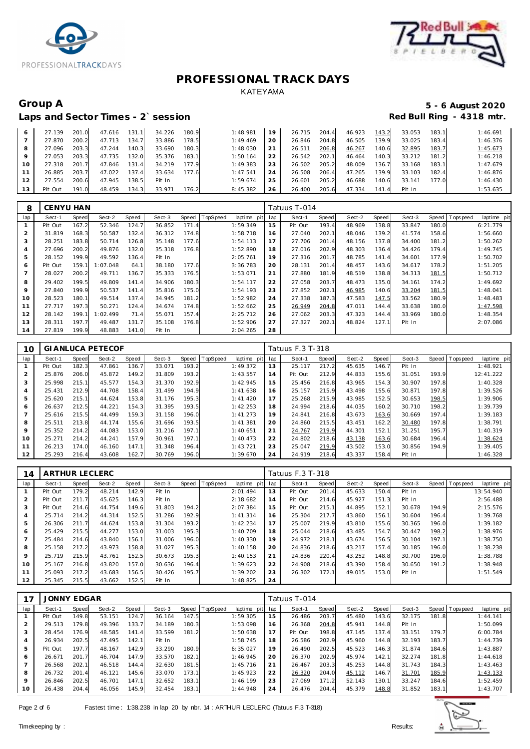



### Laps and Sector Times - 2`session

# Group A 5 - 6 August 2020<br>
Laps and Sector Times - 2`session **1990 and Sector Times - 2`session**

| 6  | 27.139  | 201.0 | 47.616 | 131.1 | 34.226 | 180.9 | 1:48.981 | 19 | 26.715 | 204.4 | 46.923 | 143.2 | 33.053 | 183.1 | 1:46.691 |
|----|---------|-------|--------|-------|--------|-------|----------|----|--------|-------|--------|-------|--------|-------|----------|
|    | 27.870  | 200.2 | 47.713 | 134.7 | 33.886 | 178.5 | 1:49.469 | 20 | 26.846 | 204.8 | 46.505 | 139.9 | 33.025 | 183.4 | 1:46.376 |
| 8  | 27.096  | 203.3 | 47.244 | 140.3 | 33.690 | 180.3 | 1:48.030 | 21 | 26.511 | 206.8 | 46.267 | 140.6 | 32.895 | 183.7 | 1:45.673 |
| 9  | 27.053  | 203.3 | 47.735 | 132.0 | 35.376 | 183.1 | 1:50.164 | 22 | 26.542 | 202.1 | 46.464 | 140.3 | 33.212 | 181.2 | 1:46.218 |
| 10 | 27.318  | 201.7 | 47.846 | 131.4 | 34.219 | 177.9 | 1:49.383 | 23 | 26.502 | 205.2 | 48.009 | 136.7 | 33.168 | 183.1 | 1:47.679 |
|    | 26.885  | 203.7 | 47.022 | 137.4 | 33.634 | 177.6 | 1:47.541 | 24 | 26.508 | 206.4 | 47.265 | 139.9 | 33.103 | 182.4 | 1:46.876 |
| 12 | 27.554  | 200.6 | 47.945 | 138.5 | Pit In |       | 1:59.674 | 25 | 26.601 | 205.2 | 46.688 | 140.6 | 33.141 | 177.0 | 1:46.430 |
| 13 | Pit Out | 191.0 | 48.459 | 134.3 | 33.971 | 176.2 | 8:45.382 | 26 | 26.400 | 205.6 | 47.334 | 141.4 | Pit In |       | 1:53.635 |

| 8              | <b>CENYU HAN</b> |       |          |       |        |       |          |             |     | Tatuus T-014 |       |        |       |        |       |            |             |
|----------------|------------------|-------|----------|-------|--------|-------|----------|-------------|-----|--------------|-------|--------|-------|--------|-------|------------|-------------|
| lap            | Sect-1           | Speed | Sect-2   | Speed | Sect-3 | Speed | TopSpeed | laptime pit | lap | Sect-1       | Speed | Sect-2 | Speed | Sect-3 | Speed | T ops peed | laptime pit |
|                | Pit Out          | 167.2 | 52.346   | 124.7 | 36.852 | 171.4 |          | 1:59.349    | 15  | Pit Out      | 193.4 | 48.969 | 138.8 | 33.847 | 180.0 |            | 6:21.779    |
| 2              | 31.819           | 168.3 | 50.587   | 132.4 | 36.312 | 174.8 |          | 1:58.718    | 16  | 27.040       | 202.1 | 48.046 | 139.2 | 41.574 | 158.6 |            | 1:56.660    |
| 3              | 28.251           | 183.8 | 50.714   | 126.8 | 35.148 | 177.6 |          | 1:54.113    | 17  | 27.706       | 201.4 | 48.156 | 137.8 | 34.400 | 181.2 |            | 1:50.262    |
| 4              | 27.696           | 200.2 | 49.876   | 132.0 | 35.318 | 176.8 |          | 1:52.890    | 18  | 27.016       | 202.9 | 48.303 | 136.4 | 34.426 | 179.4 |            | 1:49.745    |
| 5              | 28.152           | 199.9 | 49.592   | 136.4 | Pit In |       |          | 2:05.761    | 19  | 27.316       | 201.7 | 48.785 | 141.4 | 34.601 | 177.9 |            | 1:50.702    |
| 6              | Pit Out          | 159.  | : 07.048 | 64.1  | 38.180 | 177.6 |          | 3:36.783    | 20  | 28.131       | 201.4 | 48.457 | 143.6 | 34.617 | 178.2 |            | 1:51.205    |
| $\overline{7}$ | 28.027           | 200.2 | 49.711   | 136.7 | 35.333 | 176.5 |          | 1:53.071    | 21  | 27.880       | 181.9 | 48.519 | 138.8 | 34.313 | 181.5 |            | 1:50.712    |
| 8              | 29.402           | 199.5 | 49.809   | 141.4 | 34.906 | 180.3 |          | 1:54.117    | 22  | 27.058       | 203.7 | 48.473 | 135.0 | 34.161 | 174.2 |            | 1:49.692    |
| 9              | 27.840           | 199.9 | 50.537   | 141.4 | 35.816 | 175.0 |          | 1:54.193    | 23  | 27.852       | 202.1 | 46.985 | 140.6 | 33.204 | 181.5 |            | 1:48.041    |
| 10             | 28.523           | 180.1 | 49.514   | 137.4 | 34.945 | 181.2 |          | 1:52.982    | 24  | 27.338       | 187.3 | 47.583 | 147.5 | 33.562 | 180.9 |            | 1:48.483    |
| 11             | 27.717           | 197.3 | 50.271   | 124.4 | 34.674 | 174.8 |          | 1:52.662    | 25  | 26.949       | 204.8 | 47.011 | 144.4 | 33.638 | 180.0 |            | 1:47.598    |
| 12             | 28.142           | 199.  | 1:02.499 | 71.4  | 55.071 | 157.4 |          | 2:25.712    | 26  | 27.062       | 203.3 | 47.323 | 144.4 | 33.969 | 180.0 |            | 1:48.354    |
| 13             | 28.311           | 197.7 | 49.487   | 131.7 | 35.108 | 176.8 |          | 1:52.906    | 27  | 27.327       | 202.1 | 48.824 | 127.1 | Pit In |       |            | 2:07.086    |
| 14             | 27.819           | 199.9 | 48.883   | 141.0 | Pit In |       |          | 2:04.265    | 28  |              |       |        |       |        |       |            |             |

| 10  |         |       | <b>GI ANLUCA PETECOF</b> |       |        |       |                  |             |     | Tatuus F.3 T-318 |       |        |       |        |       |                |             |
|-----|---------|-------|--------------------------|-------|--------|-------|------------------|-------------|-----|------------------|-------|--------|-------|--------|-------|----------------|-------------|
| lap | Sect-1  | Speed | Sect-2                   | Speed | Sect-3 |       | Speed   TopSpeed | laptime pit | lap | Sect-1           | Speed | Sect-2 | Speed | Sect-3 |       | Speed Topspeed | laptime pit |
|     | Pit Out | 182.3 | 47.861                   | 136.7 | 33.071 | 193.2 |                  | 1:49.372    | 13  | 25.117           | 217.2 | 45.635 | 146.7 | Pit In |       |                | 1:48.921    |
| 2   | 25.876  | 206.0 | 45.872                   | 149.2 | 31.809 | 193.2 |                  | 1:43.557    | 14  | Pit Out          | 212.9 | 44.833 | 155.6 | 31.051 | 193.9 |                | 12:41.222   |
| 3   | 25.998  | 215.1 | 45.577                   | 154.3 | 31.370 | 192.9 |                  | 1:42.945    | 15  | 25.456           | 216.8 | 43.965 | 154.3 | 30.907 | 197.8 |                | 1:40.328    |
| 4   | 25.431  | 212.9 | 44.708                   | 158.4 | 31.499 | 194.9 |                  | 1:41.638    | 16  | 25.157           | 215.9 | 43.498 | 155.6 | 30.871 | 197.8 |                | 1:39.526    |
| 5   | 25.620  | 215.1 | 44.624                   | 153.8 | 31.176 | 195.3 |                  | 1: 41.420   | 17  | 25.268           | 215.9 | 43.985 | 152.5 | 30.653 | 198.5 |                | 1:39.906    |
| 6   | 26.637  | 212.5 | 44.221                   | 154.3 | 31.395 | 193.5 |                  | 1:42.253    | 18  | 24.994           | 218.6 | 44.035 | 160.2 | 30.710 | 198.2 |                | 1:39.739    |
|     | 25.616  | 215.5 | 44.499                   | 159.3 | 31.158 | 196.0 |                  | 1:41.273    | 19  | 24.841           | 216.8 | 43.673 | 163.6 | 30.669 | 197.4 |                | 1:39.183    |
| 8   | 25.511  | 213.8 | 44.174                   | 155.6 | 31.696 | 193.5 |                  | 1:41.381    | 20  | 24.860           | 215.5 | 43.451 | 162.2 | 30.480 | 197.8 |                | 1:38.791    |
| 9   | 25.352  | 214.2 | 44.083                   | 153.0 | 31.216 | 197.1 |                  | 1:40.651    | 21  | 24.767           | 219.9 | 44.301 | 152.1 | 31.251 | 195.7 |                | 1:40.319    |
| 10  | 25.271  | 214.2 | 44.241                   | 157.9 | 30.961 | 197.1 |                  | 1:40.473    | 22  | 24.802           | 218.6 | 43.138 | 163.6 | 30.684 | 196.4 |                | 1:38.624    |
| 11  | 26.213  | 174.0 | 46.160                   | 147.1 | 31.348 | 196.4 |                  | 1:43.721    | 23  | 25.047           | 219.9 | 43.502 | 153.0 | 30.856 | 194.9 |                | 1:39.405    |
| 12  | 25.293  | 216.4 | 43.608                   | 162.7 | 30.769 | 196.0 |                  | 1:39.670    | 24  | 24.919           | 218.6 | 43.337 | 158.4 | Pit In |       |                | 1:46.328    |

| 14  | ARTHUR LECLERC |       |        |       |        |       |          |             |     | Tatuus F.3 T-318 |       |        |       |        |       |                |             |
|-----|----------------|-------|--------|-------|--------|-------|----------|-------------|-----|------------------|-------|--------|-------|--------|-------|----------------|-------------|
| lap | Sect-1         | Speed | Sect-2 | Speed | Sect-3 | Speed | TopSpeed | laptime pit | lap | Sect-1           | Speed | Sect-2 | Speed | Sect-3 |       | Speed Topspeed | laptime pit |
|     | Pit Out        | 179.2 | 48.214 | 142.9 | Pit In |       |          | 2:01.494    | 13  | Pit Out          | 201.4 | 45.633 | 150.4 | Pit In |       |                | 13:54.940   |
| 2   | Pit Out        | 211.7 | 45.625 | 146.3 | Pit In |       |          | 2:18.682    | 14  | Pit Out          | 214.6 | 45.927 | 151.3 | Pit In |       |                | 2:56.488    |
| 3   | Pit Out        | 214.6 | 44.754 | 149.6 | 31.803 | 194.2 |          | 2:07.384    | 15  | Pit Out          | 215.1 | 44.895 | 152.1 | 30.678 | 194.9 |                | 2:15.576    |
| 4   | 25.714         | 214.2 | 44.314 | 152.5 | 31.286 | 192.9 |          | 1: 41.314   | 16  | 25.304           | 217.7 | 43.860 | 156.1 | 30.604 | 196.4 |                | 1:39.768    |
| 5   | 26.306         | 211.7 | 44.624 | 153.8 | 31.304 | 193.2 |          | 1:42.234    | 17  | 25.007           | 219.9 | 43.810 | 155.6 | 30.365 | 196.0 |                | 1:39.182    |
| 6   | 25.429         | 215.5 | 44.277 | 153.0 | 31.003 | 195.3 |          | 1:40.709    | 18  | 25.044           | 218.6 | 43.485 | 154.7 | 30.447 | 198.2 |                | 1:38.976    |
| 7   | 25.484         | 214.6 | 43.840 | 156.1 | 31.006 | 196.0 |          | 1:40.330    | 19  | 24.972           | 218.1 | 43.674 | 156.5 | 30.104 | 197.1 |                | 1:38.750    |
| 8   | 25.158         | 217.2 | 43.973 | 158.8 | 31.027 | 195.3 |          | 1:40.158    | 20  | 24.836           | 218.6 | 43.217 | 157.4 | 30.185 | 196.0 |                | 1:38.238    |
| 9   | 25.719         | 215.9 | 43.761 | 152.5 | 30.673 | 195.3 |          | 1:40.153    | 21  | 24.836           | 220.4 | 43.252 | 148.8 | 30.700 | 196.0 |                | 1:38.788    |
| 10  | 25.167         | 216.8 | 43.820 | 157.0 | 30.636 | 196.4 |          | 1:39.623    | 22  | 24.908           | 218.6 | 43.390 | 158.4 | 30.650 | 191.2 |                | 1:38.948    |
| 11  | 25.093         | 217.2 | 43.683 | 156.5 | 30.426 | 195.7 |          | 1:39.202    | 23  | 26.302           | 172.1 | 49.015 | 153.0 | Pit In |       |                | 1:51.549    |
| 12  | 25.345         | 215.5 | 43.662 | 152.5 | Pit In |       |          | 1:48.825    | 24  |                  |       |        |       |        |       |                |             |

|                | JONNY EDGAR |       |        |       |        |       |          |             |     | Tatuus T-014 |       |        |       |        |       |                |             |
|----------------|-------------|-------|--------|-------|--------|-------|----------|-------------|-----|--------------|-------|--------|-------|--------|-------|----------------|-------------|
| lap            | Sect-1      | Speed | Sect-2 | Speed | Sect-3 | Speed | TopSpeed | laptime pit | lap | Sect-1       | Speed | Sect-2 | Speed | Sect-3 |       | Speed Topspeed | laptime pit |
|                | Pit Out     | 149.8 | 53.151 | 124.7 | 36.164 | 147.5 |          | 1:59.305    | 15  | 26.486       | 203.7 | 45.480 | 143.6 | 32.175 | 181.8 |                | 1: 44.141   |
| 2              | 29.513      | 179.8 | 49.396 | 133.7 | 34.189 | 180.3 |          | 1:53.098    | 16  | 26.368       | 204.8 | 45.941 | 144.8 | Pit In |       |                | 1:50.099    |
| 3              | 28.454      | 176.9 | 48.585 | 141.4 | 33.599 | 181.2 |          | 1:50.638    | 17  | Pit Out      | 198.8 | 47.145 | 137.4 | 33.151 | 179.7 |                | 6:00.784    |
| $\overline{4}$ | 26.934      | 202.5 | 47.495 | 142.1 | Pit In |       |          | 1:58.745    | 18  | 26.586       | 202.9 | 45.960 | 144.8 | 32.193 | 183.7 |                | 1:44.739    |
| 5              | Pit Out     | 197.7 | 48.167 | 142.9 | 33.290 | 180.9 |          | 6:35.027    | 19  | 26.490       | 202.5 | 45.523 | 146.3 | 31.874 | 184.6 |                | 1:43.887    |
| 6              | 26.671      | 201.7 | 46.704 | 147.9 | 33.570 | 182.1 |          | 1:46.945    | 20  | 26.370       | 202.9 | 45.974 | 142.1 | 32.274 | 181.8 |                | 1:44.618    |
| $\overline{7}$ | 26.568      | 202.7 | 46.518 | 144.4 | 32.630 | 181.5 |          | 1:45.716    | 21  | 26.467       | 203.3 | 45.253 | 144.8 | 31.743 | 184.3 |                | 1:43.463    |
| 8              | 26.732      | 201.4 | 46.121 | 145.6 | 33.070 | 173.1 |          | 1:45.923    | 22  | 26.320       | 204.0 | 45.112 | 146.7 | 31.701 | 185.9 |                | 1:43.133    |
| 9              | 26.846      | 202.5 | 46.701 | 147.1 | 32.652 | 183.1 |          | 1:46.199    | 23  | 27.069       | 171.2 | 52.143 | 130.1 | 33.247 | 184.6 |                | 1:52.459    |
| 10             | 26.438      | 204.4 | 46.056 | 145.9 | 32.454 | 183.1 |          | 1:44.948    | 24  | 26.476       | 204.4 | 45.379 | 148.8 | 31.852 | 183.1 |                | 1:43.707    |

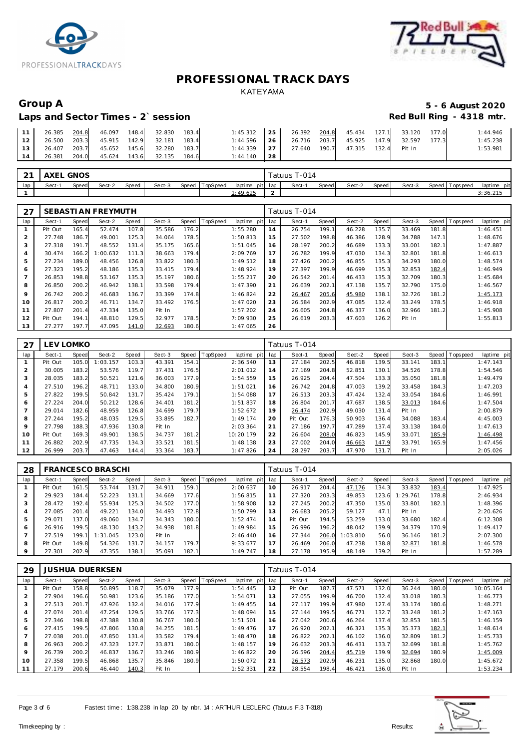



# Laps and Sector Times - 2`session

# Group A 5 - 6 August 2020<br>
Laps and Sector Times - 2`session **1990 and Sector Times - 2`session**

|    | 11   26.385 $\overline{204.8}$ 46.097 148.4 32.830 183.4 |  |                                        | 1:45.312 25 26.392 204.8 45.434 127.1 33.120 177.0       |  |  |  | 1:44.946 |
|----|----------------------------------------------------------|--|----------------------------------------|----------------------------------------------------------|--|--|--|----------|
|    | 12   26.500 203.3 45.915 142.9 32.181 183.4              |  |                                        | $1:44.596$   26   26.716 203.7 45.925 147.9 32.597 177.3 |  |  |  | 1:45.238 |
|    | 13 26.407 203.7 45.652 145.6 32.280 183.7                |  |                                        | 1:44.339 27 27.640 190.7 47.315 132.4 Pit In             |  |  |  | 1:53.981 |
| 14 |                                                          |  | 26.381 204.0 45.624 143.6 32.135 184.6 | $1:44.140$ 28                                            |  |  |  |          |

| $\sim$<br>╯ | AXEL   | <b>GNOS</b>  |        |              |        |       |          |                 |             | Fatuus T-014 |       |        |       |        |       |          |             |
|-------------|--------|--------------|--------|--------------|--------|-------|----------|-----------------|-------------|--------------|-------|--------|-------|--------|-------|----------|-------------|
| lap         | Sect-1 | <b>Speed</b> | Sect-2 | <b>Speed</b> | Sect-3 | Speed | TopSpeed | laptime pit lap |             | Sect-        | Speed | Sect-2 | Speed | Sect-3 | Speed | Topspeed | laptime pit |
|             |        |              |        |              |        |       |          | : 49.625        | $\sim$<br>- |              |       |        |       |        |       |          | 3:36.215    |

| 27             |         |              | SEBASTI AN FREYMUTH |       |        |       |                |             |     | Tatuus T-014 |       |        |       |        |       |                   |             |
|----------------|---------|--------------|---------------------|-------|--------|-------|----------------|-------------|-----|--------------|-------|--------|-------|--------|-------|-------------------|-------------|
| lap            | Sect-1  | <b>Speed</b> | Sect-2              | Speed | Sect-3 |       | Speed TopSpeed | laptime pit | lap | Sect-1       | Speed | Sect-2 | Speed | Sect-3 |       | Speed   Tops peed | laptime pit |
|                | Pit Out | 165.4        | 52.474              | 107.8 | 35.586 | 176.2 |                | 1:55.280    | 14  | 26.754       | 199.1 | 46.228 | 135.7 | 33.469 | 181.8 |                   | 1:46.451    |
| $\overline{2}$ | 27.748  | 186.7        | 49.001              | 125.3 | 34.064 | 178.5 |                | 1:50.813    | 15  | 27.502       | 198.8 | 46.386 | 128.9 | 34.788 | 147.1 |                   | 1:48.676    |
| 3              | 27.318  | 191.7        | 48.552              | 131.4 | 35.175 | 165.6 |                | 1:51.045    | 16  | 28.197       | 200.2 | 46.689 | 133.3 | 33.001 | 182.1 |                   | 1:47.887    |
| $\overline{4}$ | 30.474  | 166.2        | 1:00.632            | 111.3 | 38.663 | 179.4 |                | 2:09.769    | 17  | 26.782       | 199.9 | 47.030 | 134.3 | 32.801 | 181.8 |                   | 1:46.613    |
| 5              | 27.234  | 189.0        | 48.456              | 126.8 | 33.822 | 180.3 |                | 1:49.512    | 18  | 27.426       | 200.2 | 46.855 | 135.3 | 34.293 | 180.0 |                   | 1:48.574    |
| 6              | 27.323  | 195.2        | 48.186              | 135.3 | 33.415 | 179.4 |                | 1:48.924    | 19  | 27.397       | 199.9 | 46.699 | 135.3 | 32.853 | 182.4 |                   | 1:46.949    |
|                | 26.853  | 198.8        | 53.167              | 135.3 | 35.197 | 180.6 |                | 1:55.217    | 20  | 26.542       | 201.4 | 46.433 | 135.3 | 32.709 | 180.3 |                   | 1:45.684    |
| 8              | 26.850  | 200.2        | 46.942              | 138.1 | 33.598 | 179.4 |                | 1:47.390    | 21  | 26.639       | 202.1 | 47.138 | 135.7 | 32.790 | 175.0 |                   | 1:46.567    |
| 9              | 26.742  | 200.2        | 46.683              | 136.7 | 33.399 | 174.8 |                | 1:46.824    | 22  | 26.467       | 205.6 | 45.980 | 138.1 | 32.726 | 181.2 |                   | 1:45.173    |
| 10             | 26.817  | 200.2        | 46.711              | 134.7 | 33.492 | 176.5 |                | 1:47.020    | 23  | 26.584       | 202.9 | 47.085 | 132.4 | 33.249 | 178.5 |                   | 1:46.918    |
| 11             | 27.807  | 201.4        | 47.334              | 135.0 | Pit In |       |                | 1:57.202    | 24  | 26.605       | 204.8 | 46.337 | 136.0 | 32.966 | 181.2 |                   | 1:45.908    |
| 12             | Pit Out | 194.1        | 48.810              | 129.5 | 32.977 | 178.5 |                | 7:09.930    | 25  | 26.619       | 203.3 | 47.603 | 126.2 | Pit In |       |                   | 1:55.813    |
| 13             | 27.277  | 197.7        | 47.095              | 141.0 | 32.693 | 180.6 |                | 1:47.065    | 26  |              |       |        |       |        |       |                   |             |

| 27  |         | EV LOMKO- |          |       |        |       |          |             |     | Tatuus T-014 |       |        |       |        |       |                |             |
|-----|---------|-----------|----------|-------|--------|-------|----------|-------------|-----|--------------|-------|--------|-------|--------|-------|----------------|-------------|
| lap | Sect-1  | Speed     | Sect-2   | Speed | Sect-3 | Speed | TopSpeed | laptime pit | lap | Sect-1       | Speed | Sect-2 | Speed | Sect-3 |       | Speed Topspeed | laptime pit |
|     | Pit Out | 105.0     | 1:03.157 | 103.3 | 43.391 | 154.1 |          | 2:36.540    | 13  | 27.184       | 202.5 | 46.818 | 139.5 | 33.141 | 183.1 |                | 1:47.143    |
| 2   | 30.005  | 183.2     | 53.576   | 119.7 | 37.431 | 176.5 |          | 2:01.012    | 14  | 27.169       | 204.8 | 52.851 | 130.1 | 34.526 | 178.8 |                | 1:54.546    |
| 3   | 28.035  | 183.2     | 50.521   | 121.6 | 36.003 | 177.9 |          | 1:54.559    | 15  | 26.925       | 204.4 | 47.504 | 133.3 | 35.050 | 181.8 |                | 1:49.479    |
| 4   | 27.510  | 196.2     | 48.711   | 133.0 | 34.800 | 180.9 |          | 1:51.021    | 16  | 26.742       | 204.8 | 47.003 | 139.2 | 33.458 | 184.3 |                | 1:47.203    |
| 5   | 27.822  | 199.5     | 50.842   | 131.7 | 35.424 | 179.1 |          | 1:54.088    | 17  | 26.513       | 203.3 | 47.424 | 132.4 | 33.054 | 184.6 |                | 1:46.991    |
| 6   | 27.224  | 204.0     | 50.212   | 128.6 | 34.401 | 181.2 |          | 1:51.837    | 18  | 26.804       | 201.7 | 47.687 | 138.5 | 33.013 | 184.6 |                | 1:47.504    |
| 7   | 29.014  | 182.6     | 48.959   | 126.8 | 34.699 | 179.7 |          | 1:52.672    | 19  | 26.474       | 202.9 | 49.030 | 131.4 | Pit In |       |                | 2:00.879    |
| 8   | 27.244  | 195.2     | 48.035   | 129.5 | 33.895 | 182.7 |          | 1:49.174    | 20  | Pit Out      | 176.3 | 50.903 | 136.4 | 34.088 | 183.4 |                | 4:45.003    |
| 9   | 27.798  | 188.3     | 47.936   | 130.8 | Pit In |       |          | 2:03.364    | 21  | 27.186       | 197.7 | 47.289 | 137.4 | 33.138 | 184.0 |                | 1:47.613    |
| 10  | Pit Out | 169.3     | 49.901   | 138.5 | 34.737 | 181.2 |          | 10:20.179   | 22  | 26.604       | 208.0 | 46.823 | 145.9 | 33.071 | 185.9 |                | 1:46.498    |
| 11  | 26.882  | 202.9     | 47.735   | 134.3 | 33.521 | 181.5 |          | 1:48.138    | 23  | 27.002       | 204.0 | 46.663 | 147.9 | 33.791 | 165.9 |                | 1:47.456    |
| 12  | 26.999  | 203.7     | 47.463   | 144.4 | 33.364 | 183.7 |          | 1:47.826    | 24  | 28.297       | 203.7 | 47.970 | 131.7 | Pit In |       |                | 2:05.026    |

| 28  |         |       | FRANCESCO BRASCHI |       |        |       |          |                 |    | Tatuus T-014 |       |          |       |          |       |                 |             |
|-----|---------|-------|-------------------|-------|--------|-------|----------|-----------------|----|--------------|-------|----------|-------|----------|-------|-----------------|-------------|
| lap | Sect-1  | Speed | Sect-2            | Speed | Sect-3 | Speed | TopSpeed | laptime pit lap |    | Sect-1       | Speed | Sect-2   | Speed | Sect-3   |       | Speed Tops peed | laptime pit |
|     | Pit Out | 161.5 | 53.744            | 131   | 34.911 | 159.1 |          | 2:00.637        | 10 | 26.917       | 204.4 | 47.176   | 134.3 | 33.832   | 183.4 |                 | 1:47.925    |
|     | 29.923  | 184.4 | 52.223            | 131   | 34.669 | 177.6 |          | 1:56.815        | 11 | 27.320       | 203.3 | 49.853   | 123.6 | 1:29.761 | 178.8 |                 | 2:46.934    |
|     | 28.472  | 192.4 | 55.934            | 125.3 | 34.502 | 177.0 |          | 1:58.908        | 12 | 27.245       | 200.2 | 47.350   | 135.0 | 33.801   | 182.1 |                 | 1:48.396    |
|     | 27.085  | 201.4 | 49.221            | 134.0 | 34.493 | 172.8 |          | 1:50.799        | 13 | 26.683       | 205.2 | 59.127   | 47.1  | Pit In   |       |                 | 2:20.626    |
| 5   | 29.071  | 137.0 | 49.060            | 134.7 | 34.343 | 180.0 |          | 1:52.474        | 14 | Pit Out      | 194.5 | 53.259   | 133.0 | 33.680   | 182.4 |                 | 6:12.308    |
| 6   | 26.916  | 199.5 | 48.130            | 143.2 | 34.938 | 181.8 |          | 1:49.984        | 15 | 26.996       | 196.2 | 48.042   | 139.9 | 34.379   | 170.9 |                 | 1:49.417    |
|     | 27.519  | 199.1 | 1:31.045          | 123.0 | Pit In |       |          | 2:46.440        | 16 | 27.344       | 206.0 | 1:03.810 | 56.0  | 36.146   | 181.2 |                 | 2:07.300    |
| 8   | Pit Out | 149.8 | 54.326            | 131   | 34.157 | 179.7 |          | 9:33.677        | 17 | 26.469       | 206.0 | 47.238   | 138.8 | 32.871   | 181.8 |                 | 1:46.578    |
|     | 27.301  | 202.9 | 47.355            | 138.1 | 35.091 | 182.1 |          | 1:49.747        | 18 | 27.178       | 195.9 | 48.149   | 139.2 | Pit In   |       |                 | 1:57.289    |

| 29  |         |       | JUSHUA DUERKSEN |       |        |       |          |             |     | Tatuus T-014 |       |        |       |        |       |                            |
|-----|---------|-------|-----------------|-------|--------|-------|----------|-------------|-----|--------------|-------|--------|-------|--------|-------|----------------------------|
| lap | Sect-1  | Speed | Sect-2          | Speed | Sect-3 | Speed | TopSpeed | laptime pit | lap | Sect-1       | Speed | Sect-2 | Speed | Sect-3 | Speed | T ops pee d<br>laptime pit |
|     | Pit Out | 158.8 | 50.895          | 118.7 | 35.079 | 177.9 |          | 1:54.445    | 12  | Pit Out      | 187.7 | 47.571 | 132.0 | 36.244 | 180.C | 10:05.164                  |
|     | 27.904  | 196.6 | 50.981          | 123.6 | 35.186 | 177.0 |          | 1:54.071    | 13  | 27.055       | 199.9 | 46.700 | 132.4 | 33.018 | 180.3 | 1:46.773                   |
| 3   | 27.513  | 201.7 | 47.926          | 132.4 | 34.016 | 177.9 |          | 1:49.455    | 14  | 27.117       | 199.9 | 47.980 | 127.4 | 33.174 | 180.6 | 1:48.271                   |
|     | 27.074  | 201.4 | 47.254          | 129.5 | 33.766 | 177.3 |          | 1:48.094    | 15  | 27.144       | 199.5 | 46.771 | 132.7 | 33.248 | 181.2 | 1:47.163                   |
| 5   | 27.346  | 198.8 | 47.388          | 130.8 | 36.767 | 180.0 |          | 1:51.501    | 16  | 27.042       | 200.6 | 46.264 | 137.4 | 32.853 | 181.5 | 1:46.159                   |
| 6   | 27.415  | 199.5 | 47.806          | 130.8 | 34.255 | 181.5 |          | 1:49.476    | 17  | 26.920       | 202.1 | 46.321 | 135.3 | 35.373 | 182.1 | 1:48.614                   |
|     | 27.038  | 201.0 | 47.850          | 131.4 | 33.582 | 179.4 |          | 1:48.470    | 18  | 26.822       | 202.1 | 46.102 | 136.0 | 32.809 | 181.2 | 1:45.733                   |
| 8   | 26.963  | 200.2 | 47.323          | 127.7 | 33.871 | 180.0 |          | 1:48.157    | 19  | 26.632       | 203.3 | 46.431 | 133.7 | 32.699 | 181.8 | 1:45.762                   |
| 9   | 26.739  | 200.2 | 46.837          | 136.7 | 33.246 | 180.9 |          | 1:46.822    | 20  | 26.596       | 204.4 | 45.719 | 139.9 | 32.694 | 180.9 | 1:45.009                   |
| 10  | 27.358  | 199.5 | 46.868          | 135.7 | 35.846 | 180.9 |          | 1:50.072    | 21  | 26.573       | 202.9 | 46.231 | 135.0 | 32.868 | 180.0 | 1:45.672                   |
| 11  | 27.179  | 200.6 | 46.440          | 140.3 | Pit In |       |          | 1:52.331    | 22  | 28.554       | 198.4 | 46.421 | 136.0 | Pit In |       | 1:53.234                   |

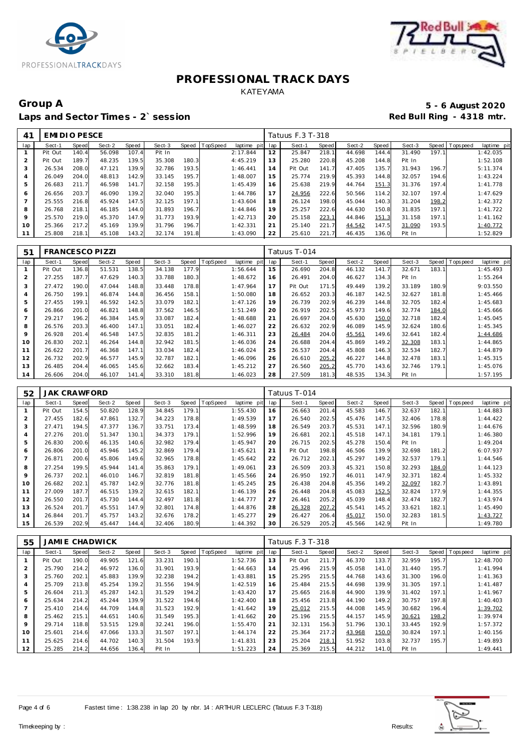



## Group A 5 - 6 August 2020<br>
Laps and Sector Times - 2`session **1990 and Sector Times - 2`session** Laps and Sector Times - 2`session

| 41      | EMI DI O PESCE |       |        |       |        |       |          |             |     | Tatuus F.3 T-318 |       |        |       |        |       |                |             |
|---------|----------------|-------|--------|-------|--------|-------|----------|-------------|-----|------------------|-------|--------|-------|--------|-------|----------------|-------------|
| lap     | Sect-1         | Speed | Sect-2 | Speed | Sect-3 | Speed | TopSpeed | laptime pit | lap | Sect-1           | Speed | Sect-2 | Speed | Sect-3 |       | Speed Topspeed | laptime pit |
|         | Pit Out        | 140.4 | 56.098 | 107.4 | Pit In |       |          | 2:17.844    | 12  | 25.847           | 218.1 | 44.698 | 144.4 | 31.490 | 197.1 |                | 1:42.035    |
|         | Pit Out        | 189.7 | 48.235 | 139.5 | 35.308 | 180.3 |          | 4:45.219    | 13  | 25.280           | 220.8 | 45.208 | 144.8 | Pit In |       |                | 1:52.108    |
| 3       | 26.534         | 208.0 | 47.121 | 139.9 | 32.786 | 193.5 |          | 1:46.441    | 14  | Pit Out          | 141.7 | 47.405 | 135.7 | 31.943 | 196.7 |                | 5:11.374    |
|         | 26.049         | 204.0 | 48.813 | 142.9 | 33.145 | 195.7 |          | 1:48.007    | 15  | 25.774           | 219.9 | 45.393 | 144.8 | 32.057 | 194.6 |                | 1:43.224    |
| 5       | 26.683         | 211.7 | 46.598 | 141.7 | 32.158 | 195.3 |          | 1:45.439    | 16  | 25.638           | 219.9 | 44.764 | 151.3 | 31.376 | 197.4 |                | 1:41.778    |
| 6       | 26.656         | 203.7 | 46.090 | 139.2 | 32.040 | 195.3 |          | 1:44.786    | 17  | 24.956           | 222.6 | 50.566 | 114.2 | 32.107 | 197.4 |                | 1:47.629    |
|         | 25.555         | 216.8 | 45.924 | 147.5 | 32.125 | 197.1 |          | 1:43.604    | 18  | 26.124           | 198.0 | 45.044 | 140.3 | 31.204 | 198.2 |                | 1:42.372    |
| 8       | 26.768         | 218.1 | 46.185 | 144.0 | 31.893 | 196.7 |          | 1:44.846    | 19  | 25.257           | 222.6 | 44.630 | 150.8 | 31.835 | 197.1 |                | 1:41.722    |
| $\circ$ | 25.570         | 219.0 | 45.370 | 147.9 | 31.773 | 193.9 |          | 1:42.713    | 20  | 25.158           | 223.1 | 44.846 | 151.3 | 31.158 | 197.1 |                | 1:41.162    |
| 10      | 25.366         | 217.2 | 45.169 | 139.9 | 31.796 | 196.7 |          | 1:42.331    | 21  | 25.140           | 221.7 | 44.542 | 147.5 | 31.090 | 193.5 |                | 1:40.772    |
| 11      | 25.808         | 218.1 | 45.108 | 143.2 | 32.174 | 191.8 |          | 1:43.090    | 22  | 25.610           | 221.7 | 46.435 | 136.0 | Pit In |       |                | 1:52.829    |

| 51  | <b>FRANCESCO PIZZI</b> |       |        |       |        |       |          |             |     | Tatuus T-014 |       |        |       |        |       |            |             |
|-----|------------------------|-------|--------|-------|--------|-------|----------|-------------|-----|--------------|-------|--------|-------|--------|-------|------------|-------------|
| lap | Sect-1                 | Speed | Sect-2 | Speed | Sect-3 | Speed | TopSpeed | laptime pit | lap | Sect-1       | Speed | Sect-2 | Speed | Sect-3 | Speed | T ops peed | laptime pit |
|     | Pit Out                | 136.8 | 51.531 | 138.5 | 34.138 | 177.9 |          | 1:56.644    | 15  | 26.690       | 204.8 | 46.132 | 141.7 | 32.671 | 183.1 |            | 1:45.493    |
| 2   | 27.255                 | 187.7 | 47.629 | 140.3 | 33.788 | 180.3 |          | 1:48.672    | 16  | 26.491       | 204.0 | 46.627 | 134.3 | Pit In |       |            | 1:55.264    |
| 3   | 27.472                 | 190.0 | 47.044 | 148.8 | 33.448 | 178.8 |          | 1:47.964    | 17  | Pit Out      | 171.5 | 49.449 | 139.2 | 33.189 | 180.9 |            | 9:03.550    |
| 4   | 26.750                 | 199.1 | 46.874 | 144.8 | 36.456 | 158.1 |          | 1:50.080    | 18  | 26.652       | 203.3 | 46.187 | 142.5 | 32.627 | 181.8 |            | 1:45.466    |
| 5   | 27.455                 | 199.1 | 46.592 | 142.5 | 33.079 | 182.1 |          | 1:47.126    | 19  | 26.739       | 202.9 | 46.239 | 144.8 | 32.705 | 182.4 |            | 1:45.683    |
| 6   | 26.866                 | 201.0 | 46.821 | 148.8 | 37.562 | 146.5 |          | 1:51.249    | 20  | 26.919       | 202.5 | 45.973 | 149.6 | 32.774 | 184.0 |            | 1:45.666    |
|     | 29.217                 | 196.2 | 46.384 | 145.9 | 33.087 | 182.4 |          | 1:48.688    | 21  | 26.697       | 204.0 | 45.630 | 150.0 | 32.718 | 182.4 |            | 1:45.045    |
| 8   | 26.576                 | 203.3 | 46.400 | 147.1 | 33.051 | 182.4 |          | 1:46.027    | 22  | 26.632       | 202.9 | 46.089 | 145.9 | 32.624 | 180.6 |            | 1:45.345    |
| 9   | 26.928                 | 201.4 | 46.548 | 147.5 | 32.835 | 181.2 |          | 1:46.311    | 23  | 26.484       | 204.0 | 45.561 | 149.6 | 32.641 | 182.4 |            | 1:44.686    |
| 10  | 26.830                 | 202.1 | 46.264 | 144.8 | 32.942 | 181.5 |          | 1:46.036    | 24  | 26.688       | 204.4 | 45.869 | 149.2 | 32.308 | 183.1 |            | 1:44.865    |
| 11  | 26.622                 | 201.7 | 46.368 | 147.1 | 33.034 | 182.4 |          | 1:46.024    | 25  | 26.537       | 204.4 | 45.808 | 146.3 | 32.534 | 182.7 |            | 1:44.879    |
| 12  | 26.732                 | 202.9 | 46.577 | 145.9 | 32.787 | 182.1 |          | 1:46.096    | 26  | 26.610       | 205.2 | 46.227 | 144.8 | 32.478 | 183.1 |            | 1:45.315    |
| 13  | 26.485                 | 204.4 | 46.065 | 145.6 | 32.662 | 183.4 |          | 1:45.212    | 27  | 26.560       | 205.2 | 45.770 | 143.6 | 32.746 | 179.1 |            | 1:45.076    |
| 14  | 26.606                 | 204.0 | 46.107 | 141.4 | 33.310 | 181.8 |          | 1:46.023    | 28  | 27.509       | 181.3 | 48.535 | 134.3 | Pit In |       |            | 1:57.195    |

| 52  | <b>JAK CRAWFORD</b> |       |        |       |        |            |          |                |     | Tatuus T-014 |       |        |       |        |       |           |             |
|-----|---------------------|-------|--------|-------|--------|------------|----------|----------------|-----|--------------|-------|--------|-------|--------|-------|-----------|-------------|
| lap | Sect-1              | Speed | Sect-2 | Speed | Sect-3 | Speed      | TopSpeed | laptime<br>pit | lap | Sect-1       | Speed | Sect-2 | Speed | Sect-3 | Speed | Tops peed | laptime pit |
|     | Pit Out             | 154.5 | 50.820 | 128.9 | 34.845 | 179.1      |          | 1:55.430       | 16  | 26.663       | 201.4 | 45.583 | 146.7 | 32.637 | 182.1 |           | 1:44.883    |
| 2   | 27.455              | 182.6 | 47.861 | 132.7 | 34.223 | 178.8      |          | 1:49.539       | 17  | 26.540       | 202.5 | 45.476 | 147.5 | 32.406 | 178.8 |           | 1:44.422    |
| 3   | 27.471              | 194.5 | 47.377 | 136.7 | 33.751 | 173.4      |          | 1:48.599       | 18  | 26.549       | 203.7 | 45.531 | 147.1 | 32.596 | 180.9 |           | 1:44.676    |
| 4   | 27.276              | 201.0 | 51.347 | 130.1 | 34.373 | 179.1      |          | 1:52.996       | 19  | 26.681       | 202.1 | 45.518 | 147.1 | 34.181 | 179.1 |           | 1:46.380    |
| 5   | 26.830              | 200.6 | 46.135 | 140.6 | 32.982 | 179.4      |          | 1:45.947       | 20  | 26.715       | 202.5 | 45.278 | 150.4 | Pit In |       |           | 1:49.204    |
| 6   | 26.806              | 201.0 | 45.946 | 145.2 | 32.869 | 179.4      |          | 1:45.621       | 21  | Pit Out      | 198.8 | 46.506 | 139.9 | 32.698 | 181.2 |           | 6:07.937    |
|     | 26.871              | 200.6 | 45.806 | 149.6 | 32.965 | 178.8      |          | 1:45.642       | 22  | 26.712       | 202.1 | 45.297 | 149.2 | 32.537 | 179.1 |           | 1:44.546    |
| 8   | 27.254              | 199.5 | 45.944 | 141.4 | 35.863 | 179.1      |          | 1:49.061       | 23  | 26.509       | 203.3 | 45.321 | 150.8 | 32.293 | 184.0 |           | 1:44.123    |
| 9   | 26.737              | 202.1 | 46.010 | 146.7 | 32.819 | 181<br>. 8 |          | 1:45.566       | 24  | 26.950       | 192.7 | 46.011 | 147.9 | 32.371 | 182.4 |           | 1:45.332    |
| 10  | 26.682              | 202.1 | 45.787 | 142.9 | 32.776 | 181.8      |          | 1:45.245       | 25  | 26.438       | 204.8 | 45.356 | 149.2 | 32.097 | 182.7 |           | 1:43.891    |
| 11  | 27.009              | 187.7 | 46.515 | 139.2 | 32.615 | 182.1      |          | 1:46.139       | 26  | 26.448       | 204.8 | 45.083 | 152.5 | 32.824 | 177.9 |           | 1:44.355    |
| 12  | 26.550              | 201.7 | 45.730 | 144.4 | 32.497 | 181.8      |          | 1:44.777       | 27  | 26.461       | 205.2 | 45.039 | 148.4 | 32.474 | 182.7 |           | 1:43.974    |
| 13  | 26.524              | 201.7 | 45.551 | 147.9 | 32.801 | 174.8      |          | 1:44.876       | 28  | 26.328       | 207.2 | 45.541 | 145.2 | 33.621 | 182.1 |           | 1:45.490    |
| 14  | 26.844              | 201.7 | 45.757 | 143.2 | 32.676 | 178.2      |          | 1:45.277       | 29  | 26.427       | 206.4 | 45.017 | 150.0 | 32.283 | 181.5 |           | 1:43.727    |
| 15  | 26.539              | 202.9 | 45.447 | 144.4 | 32.406 | 180.9      |          | 1:44.392       | 30  | 26.529       | 205.2 | 45.566 | 142.9 | Pit In |       |           | 1:49.780    |

| 55  |         |       | <b>JAMIE CHADWICK</b> |       |        |       |                  |                |     | Tatuus F.3 T-318 |       |        |       |        |       |                         |
|-----|---------|-------|-----------------------|-------|--------|-------|------------------|----------------|-----|------------------|-------|--------|-------|--------|-------|-------------------------|
| lap | Sect-1  | Speed | Sect-2                | Speed | Sect-3 |       | Speed   TopSpeed | laptime<br>pit | lap | Sect-1           | Speed | Sect-2 | Speed | Sect-3 | Speed | Topspeed<br>laptime pit |
|     | Pit Out | 190.0 | 49.905                | 121.6 | 33.231 | 190.1 |                  | 1:52.736       | 13  | Pit Out          | 211.7 | 46.370 | 133.7 | 32.959 | 195.7 | 12:48.700               |
| 2   | 25.790  | 214.2 | 46.972                | 136.0 | 31.901 | 193.9 |                  | 1:44.663       | 14  | 25.496           | 215.9 | 45.058 | 141.0 | 31.440 | 195.7 | 1:41.994                |
| 3   | 25.760  | 202.7 | 45.883                | 139.9 | 32.238 | 194.2 |                  | 1:43.881       | 15  | 25.295           | 215.5 | 44.768 | 143.6 | 31.300 | 196.0 | 1:41.363                |
| 4   | 25.709  | 213.8 | 45.254                | 139.2 | 31.556 | 194.9 |                  | 1:42.519       | 16  | 25.484           | 215.5 | 44.698 | 139.9 | 31.305 | 197.1 | 1: 41.487               |
| 5   | 26.604  | 211.3 | 45.287                | 142.1 | 31.529 | 194.2 |                  | 1:43.420       | 17  | 25.665           | 216.8 | 44.900 | 139.9 | 31.402 | 197.1 | 1:41.967                |
| 6   | 25.634  | 214.2 | 45.244                | 139.9 | 31.522 | 194.6 |                  | 1:42.400       | 18  | 25.456           | 213.8 | 44.190 | 149.2 | 30.757 | 197.8 | 1:40.403                |
|     | 25.410  | 214.6 | 44.709                | 144.8 | 31.523 | 192.9 |                  | 1:41.642       | 19  | 25.012           | 215.5 | 44.008 | 145.9 | 30.682 | 196.4 | 1:39.702                |
| 8   | 25.462  | 215.1 | 44.651                | 140.6 | 31.549 | 195.3 |                  | 1:41.662       | 20  | 25.196           | 215.5 | 44.157 | 145.9 | 30.621 | 198.2 | 1:39.974                |
| 9   | 29.714  | 118.8 | 53.515                | 129.8 | 32.241 | 196.0 |                  | 1:55.470       | 21  | 32.131           | 156.3 | 51.796 | 130.1 | 33.445 | 192.9 | 1:57.372                |
| 10  | 25.601  | 214.6 | 47.066                | 133.3 | 31.507 | 197.1 |                  | 1:44.174       | 22  | 25.364           | 217.2 | 43.968 | 150.0 | 30.824 | 197.1 | 1:40.156                |
| 11  | 25.625  | 214.6 | 44.702                | 140.3 | 31.504 | 193.9 |                  | 1:41.831       | 23  | 25.204           | 218.1 | 51.952 | 103.8 | 32.737 | 195.7 | 1:49.893                |
| 12  | 25.285  | 214.2 | 44.656                | 136.4 | Pit In |       |                  | 1:51.223       | 24  | 25.369           | 215.5 | 44.212 | 141.0 | Pit In |       | 1:49.441                |

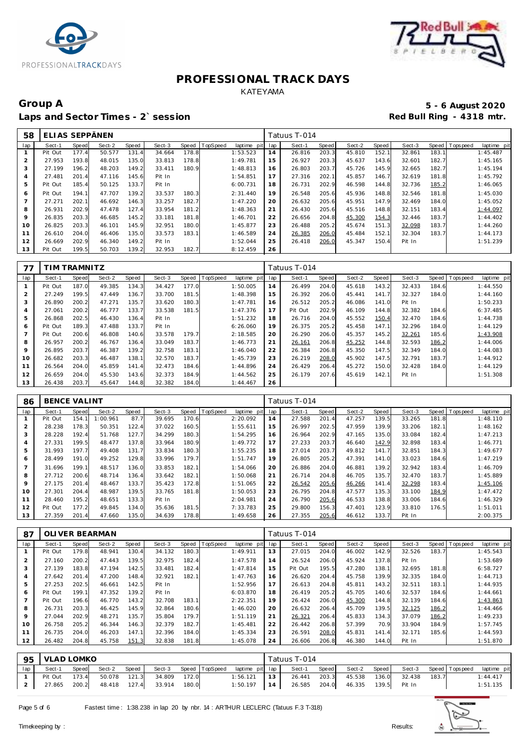



## Group A **5 - 6 August 2020**<br>Laps and Sector Times - 2`session **1990 Capacity 1990 Capacity** 1990 Red Bull Ring - 4318 mtr. Laps and Sector Times - 2`session

| 58             | ELIAS SEPPÄNEN |       |        |       |        |       |                 |             |     | Fatuus T-014 |       |        |       |        |       |                |             |
|----------------|----------------|-------|--------|-------|--------|-------|-----------------|-------------|-----|--------------|-------|--------|-------|--------|-------|----------------|-------------|
| lap            | Sect-1         | Speed | Sect-2 | Speed | Sect-3 | Speed | <b>TopSpeed</b> | laptime pit | lap | Sect-1       | Speed | Sect-2 | Speed | Sect-3 |       | Speed Topspeed | laptime pit |
|                | Pit Out        | 177.4 | 50.577 | 131.4 | 34.664 | 178.8 |                 | 1:53.523    | 14  | 26.816       | 203.3 | 45.810 | 152.1 | 32.861 | 183.1 |                | 1:45.487    |
| $\overline{2}$ | 27.953         | 193.8 | 48.015 | 135.0 | 33.813 | 178.8 |                 | 1:49.781    | 15  | 26.927       | 203.3 | 45.637 | 143.6 | 32.601 | 182.7 |                | 1:45.165    |
| 3              | 27.199         | 196.2 | 48.203 | 149.2 | 33.411 | 180.9 |                 | 1:48.813    | 16  | 26.803       | 203.7 | 45.726 | 145.9 | 32.665 | 182.7 |                | 1:45.194    |
| 4              | 27.481         | 201.4 | 47.116 | 145.6 | Pit In |       |                 | 1:54.851    | 17  | 27.316       | 202.1 | 45.857 | 146.7 | 32.619 | 181.8 |                | 1:45.792    |
| 5              | Pit Out        | 185.4 | 50.125 | 133.7 | Pit In |       |                 | 6:00.731    | 18  | 26.731       | 202.9 | 46.598 | 144.8 | 32.736 | 185.2 |                | 1:46.065    |
| 6              | Pit Out        | 194.1 | 47.707 | 139.2 | 33.537 | 180.3 |                 | 2:31.440    | 19  | 26.548       | 205.6 | 45.936 | 148.8 | 32.546 | 181.8 |                | 1:45.030    |
| $\overline{7}$ | 27.271         | 202.1 | 46.692 | 146.3 | 33.257 | 182.7 |                 | 1:47.220    | 20  | 26.632       | 205.6 | 45.951 | 147.9 | 32.469 | 184.0 |                | 1:45.052    |
| 8              | 26.931         | 202.9 | 47.478 | 127.4 | 33.954 | 181.2 |                 | 1:48.363    | 21  | 26.430       | 205.6 | 45.516 | 148.8 | 32.151 | 183.4 |                | 1:44.097    |
| 9              | 26.835         | 203.3 | 46.685 | 145.2 | 33.181 | 181.8 |                 | 1:46.701    | 22  | 26.656       | 204.8 | 45.300 | 154.3 | 32.446 | 183.7 |                | 1:44.402    |
| 10             | 26.825         | 203.3 | 46.101 | 145.9 | 32.951 | 180.0 |                 | 1:45.877    | 23  | 26.488       | 205.2 | 45.674 | 151.3 | 32.098 | 183.7 |                | 1:44.260    |
| 11             | 26.610         | 204.0 | 46.406 | 135.0 | 33.573 | 183.1 |                 | 1:46.589    | 24  | 26.385       | 206.0 | 45.484 | 152.1 | 32.304 | 183.7 |                | 1:44.173    |
| 12             | 26.669         | 202.9 | 46.340 | 149.2 | Pit In |       |                 | 1:52.044    | 25  | 26.418       | 206.0 | 45.347 | 150.4 | Pit In |       |                | 1:51.239    |
| 13             | Pit Out        | 199.5 | 50.703 | 139.2 | 32.953 | 182.7 |                 | 8:12.459    | 26  |              |       |        |       |        |       |                |             |

| 77             |         | IM TRAMNITZ |        |       |        |       |          |                |     | Tatuus T-014 |       |        |       |        |       |            |             |
|----------------|---------|-------------|--------|-------|--------|-------|----------|----------------|-----|--------------|-------|--------|-------|--------|-------|------------|-------------|
| lap            | Sect-1  | Speed       | Sect-2 | Speed | Sect-3 | Speed | TopSpeed | laptime<br>pit | lap | Sect-1       | Speed | Sect-2 | Speed | Sect-3 | Speed | T ops peed | laptime pit |
|                | Pit Out | 187.0       | 49.385 | 134.3 | 34.427 | 177.0 |          | 1:50.005       | 14  | 26.499       | 204.0 | 45.618 | 143.2 | 32.433 | 184.6 |            | 1:44.550    |
| $\overline{2}$ | 27.249  | 199.5       | 47.449 | 136.7 | 33.700 | 181.5 |          | 1:48.398       | 15  | 26.392       | 206.0 | 45.441 | 141.7 | 32.327 | 184.0 |            | 1:44.160    |
| 3              | 26.890  | 200.2       | 47.271 | 135.7 | 33.620 | 180.3 |          | 1:47.781       | 16  | 26.512       | 205.2 | 46.086 | 141.0 | Pit In |       |            | 1:50.233    |
| 4              | 27.061  | 200.2       | 46.777 | 133.7 | 33.538 | 181.5 |          | 1:47.376       | 17  | Pit Out      | 202.9 | 46.109 | 144.8 | 32.382 | 184.6 |            | 6:37.485    |
| 5              | 26.868  | 202.5       | 46.430 | 136.4 | Pit In |       |          | 1:51.232       | 18  | 26.716       | 204.0 | 45.552 | 150.4 | 32.470 | 184.6 |            | 1:44.738    |
| 6              | Pit Out | 189.3       | 47.488 | 133.7 | Pit In |       |          | 6:26.060       | 19  | 26.375       | 205.2 | 45.458 | 147.1 | 32.296 | 184.0 |            | 1:44.129    |
|                | Pit Out | 200.6       | 46.808 | 140.6 | 33.578 | 179.7 |          | 2:18.585       | 20  | 26.290       | 206.0 | 45.357 | 145.2 | 32.261 | 185.6 |            | 1:43.908    |
| 8              | 26.957  | 200.2       | 46.767 | 136.4 | 33.049 | 183.7 |          | 1:46.773       | 21  | 26.161       | 206.8 | 45.252 | 144.8 | 32.593 | 186.2 |            | 1:44.006    |
| 9              | 26.895  | 203.7       | 46.387 | 139.2 | 32.758 | 183.1 |          | 1:46.040       | 22  | 26.384       | 206.8 | 45.350 | 147.5 | 32.349 | 184.0 |            | 1:44.083    |
| 10             | 26.682  | 203.3       | 46.487 | 138.1 | 32.570 | 183.7 |          | 1:45.739       | 23  | 26.219       | 208.0 | 45.902 | 147.5 | 32.791 | 183.7 |            | 1:44.912    |
| 11             | 26.564  | 204.0       | 45.859 | 141.4 | 32.473 | 184.6 |          | 1:44.896       | 24  | 26.429       | 206.4 | 45.272 | 150.0 | 32.428 | 184.0 |            | 1:44.129    |
| 12             | 26.659  | 204.0       | 45.530 | 143.6 | 32.373 | 184.9 |          | 1:44.562       | 25  | 26.179       | 207.6 | 45.619 | 142.1 | Pit In |       |            | 1:51.308    |
| 13             | 26.438  | 203.7       | 45.647 | 144.8 | 32.382 | 184.0 |          | 1:44.467       | 26  |              |       |        |       |        |       |            |             |

| 86  | <b>BENCE VALINT</b> |       |          |       |        |       |          |             |     | Tatuus T-014 |       |        |       |        |       |            |             |
|-----|---------------------|-------|----------|-------|--------|-------|----------|-------------|-----|--------------|-------|--------|-------|--------|-------|------------|-------------|
| lap | Sect-1              | Speed | Sect-2   | Speed | Sect-3 | Speed | TopSpeed | laptime pit | lap | Sect-1       | Speed | Sect-2 | Speed | Sect-3 | Speed | T ops peed | laptime pit |
|     | Pit Out             | 154.1 | 1:00.961 | 87.7  | 39.695 | 170.6 |          | 2:20.092    | 14  | 27.588       | 201.4 | 47.257 | 139.5 | 33.265 | 181.8 |            | 1:48.110    |
|     | 28.238              | 178.3 | 50.351   | 122.4 | 37.022 | 160.5 |          | 1:55.611    | 15  | 26.997       | 202.5 | 47.959 | 139.9 | 33.206 | 182.1 |            | 1:48.162    |
| 3   | 28.228              | 192.4 | 51.768   | 127.7 | 34.299 | 180.3 |          | 1:54.295    | 16  | 26.964       | 202.9 | 47.165 | 135.0 | 33.084 | 182.4 |            | 1:47.213    |
|     | 27.331              | 199.5 | 48.477   | 137.8 | 33.964 | 180.9 |          | 1:49.772    | 17  | 27.233       | 203.7 | 46.640 | 142.9 | 32.898 | 183.4 |            | 1:46.771    |
| 5   | 31.993              | 197.7 | 49.408   | 131.7 | 33.834 | 180.3 |          | 1:55.235    | 18  | 27.014       | 203.7 | 49.812 | 141.7 | 32.851 | 184.3 |            | 1:49.677    |
| 6   | 28.499              | 191.0 | 49.252   | 129.8 | 33.996 | 179.7 |          | 1:51.747    | 19  | 26.805       | 205.2 | 47.391 | 141.0 | 33.023 | 184.6 |            | 1:47.219    |
|     | 31.696              | 199.1 | 48.517   | 136.0 | 33.853 | 182.1 |          | 1:54.066    | 20  | 26.886       | 204.0 | 46.881 | 139.2 | 32.942 | 183.4 |            | 1:46.709    |
| 8   | 27.712              | 200.6 | 48.714   | 136.4 | 33.642 | 182.1 |          | 1:50.068    | 21  | 26.714       | 204.8 | 46.705 | 135.7 | 32.470 | 183.7 |            | 1:45.889    |
| 9   | 27.175              | 201.4 | 48.467   | 133.7 | 35.423 | 172.8 |          | 1:51.065    | 22  | 26.542       | 205.6 | 46.266 | 141.4 | 32.298 | 183.4 |            | 1:45.106    |
| 10  | 27.301              | 204.4 | 48.987   | 139.5 | 33.765 | 181.8 |          | 1:50.053    | 23  | 26.795       | 204.8 | 47.577 | 135.3 | 33.100 | 184.9 |            | 1:47.472    |
| 11  | 28.460              | 195.2 | 48.651   | 133.3 | Pit In |       |          | 2:04.981    | 24  | 26.790       | 205.6 | 46.533 | 138.8 | 33.006 | 184.6 |            | 1:46.329    |
| 12  | Pit Out             | 177.2 | 49.845   | 134.0 | 35.636 | 181.5 |          | 7:33.783    | 25  | 29.800       | 156.3 | 47.401 | 123.9 | 33.810 | 176.5 |            | 1:51.011    |
| 13  | 27.359              | 201.4 | 47.660   | 135.0 | 34.639 | 178.8 |          | 1:49.658    | 26  | 27.355       | 205.6 | 46.612 | 133.7 | Pit In |       |            | 2:00.375    |

| 87             |         |       | OLI VER BEARMAN |       |        |       |                 |             |     | Tatuus T-014 |       |        |       |        |       |            |             |
|----------------|---------|-------|-----------------|-------|--------|-------|-----------------|-------------|-----|--------------|-------|--------|-------|--------|-------|------------|-------------|
| lap            | Sect-1  | Speed | Sect-2          | Speed | Sect-3 | Speed | <b>TopSpeed</b> | laptime pit | lap | Sect-1       | Speed | Sect-2 | Speed | Sect-3 | Speed | T ops peed | laptime pit |
|                | Pit Out | 179.8 | 48.941          | 130.4 | 34.132 | 180.3 |                 | 1:49.911    | 13  | 27.015       | 204.0 | 46.002 | 142.9 | 32.526 | 183.7 |            | 1:45.543    |
| $\overline{2}$ | 27.160  | 200.2 | 47.443          | 139.5 | 32.975 | 182.4 |                 | 1:47.578    | 14  | 26.524       | 206.0 | 45.924 | 137.8 | Pit In |       |            | 1:53.689    |
| 3              | 27.139  | 183.8 | 47.194          | 142.5 | 33.481 | 182.4 |                 | 1:47.814    | 15  | Pit Out      | 195.5 | 47.280 | 138.1 | 32.695 | 181.8 |            | 6:58.727    |
| $\overline{4}$ | 27.642  | 201.4 | 47.200          | 148.4 | 32.921 | 182.1 |                 | 1:47.763    | 16  | 26.620       | 204.4 | 45.758 | 139.9 | 32.335 | 184.0 |            | 1:44.713    |
| 5              | 27.253  | 202.5 | 46.661          | 142.5 | Pit In |       |                 | 1:52.956    | 17  | 26.613       | 204.8 | 45.811 | 143.2 | 32.511 | 183.1 |            | 1:44.935    |
| 6              | Pit Out | 199.1 | 47.352          | 139.2 | Pit In |       |                 | 6:03.870    | 18  | 26.419       | 205.2 | 45.705 | 140.6 | 32.537 | 184.6 |            | 1:44.661    |
|                | Pit Out | 196.6 | 46.770          | 143.2 | 32.708 | 183.1 |                 | 2:22.351    | 19  | 26.424       | 206.0 | 45.300 | 144.8 | 32.139 | 184.6 |            | 1:43.863    |
| 8              | 26.731  | 203.3 | 46.425          | 145.9 | 32.864 | 180.6 |                 | 1:46.020    | 20  | 26.632       | 206.4 | 45.709 | 139.5 | 32.125 | 186.2 |            | 1:44.466    |
| 9              | 27.044  | 202.9 | 48.271          | 135.7 | 35.804 | 179.7 |                 | 1:51.119    | 21  | 26.321       | 206.4 | 45.833 | 134.3 | 37.079 | 186.2 |            | 1:49.233    |
| 10             | 26.758  | 205.2 | 46.344          | 146.3 | 32.379 | 182.7 |                 | 1:45.481    | 22  | 26.442       | 206.8 | 57.399 | 70.9  | 33.904 | 184.9 |            | 1:57.745    |
| 11             | 26.735  | 204.0 | 46.203          | 147.1 | 32.396 | 184.0 |                 | 1:45.334    | 23  | 26.591       | 208.0 | 45.831 | 141.4 | 32.171 | 185.6 |            | 1:44.593    |
| 12             | 26.482  | 204.8 | 45.758          | 151.3 | 32.838 | 181.8 |                 | 1:45.078    | 24  | 26.606       | 206.8 | 46.380 | 144.0 | Pit In |       |            | 1:51.870    |

|     | 95 VLAD LOMKO |       |        |       |        |       |                |                 | Tatuus T-014 |        |       |                           |       |        |       |                       |             |
|-----|---------------|-------|--------|-------|--------|-------|----------------|-----------------|--------------|--------|-------|---------------------------|-------|--------|-------|-----------------------|-------------|
| lap | Sect-1        | Speed | Sect-2 | Speed | Sect-3 |       | Speed TopSpeed | laptime pit lap |              | Sect-1 | Speed | Sect-2                    | Speed |        |       | Sect-3 Speed Topspeed | laptime pit |
|     | Pit Out       | 173.4 | 50.078 | 121.3 | 34.809 | 172.0 |                | 1:56.121        | 13           | 26.441 | 203.3 | 45.538                    | 136.0 | 32.438 | 183.7 |                       | 1:44.417    |
|     | 27.865        | 200.2 | 48.418 | 127.4 | 33.914 | 180.0 |                | $1:50.197$ 14   |              |        |       | 26.585 204.0 46.335 139.5 |       | Pit In |       |                       | 1:51.135    |